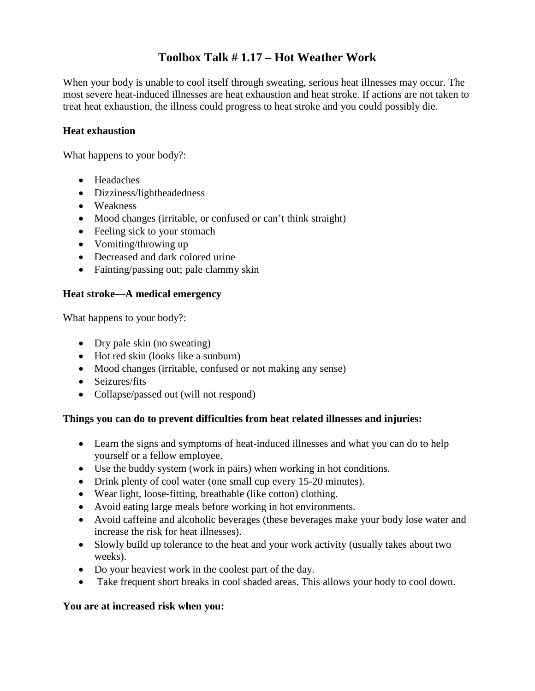## **Toolbox Talk # 1.17 – Hot Weather Work**

When your body is unable to cool itself through sweating, serious heat illnesses may occur. The most severe heat-induced illnesses are heat exhaustion and heat stroke. If actions are not taken to treat heat exhaustion, the illness could progress to heat stroke and you could possibly die.

### **Heat exhaustion**

What happens to your body?:

- Headaches
- Dizziness/lightheadedness
- Weakness
- Mood changes (irritable, or confused or can't think straight)
- Feeling sick to your stomach
- Vomiting/throwing up
- Decreased and dark colored urine
- Fainting/passing out; pale clammy skin

#### **Heat stroke—A medical emergency**

What happens to your body?:

- Dry pale skin (no sweating)
- Hot red skin (looks like a sunburn)
- Mood changes (irritable, confused or not making any sense)
- Seizures/fits
- Collapse/passed out (will not respond)

#### **Things you can do to prevent difficulties from heat related illnesses and injuries:**

- Learn the signs and symptoms of heat-induced illnesses and what you can do to help yourself or a fellow employee.
- Use the buddy system (work in pairs) when working in hot conditions.
- Drink plenty of cool water (one small cup every 15-20 minutes).
- Wear light, loose-fitting, breathable (like cotton) clothing.
- Avoid eating large meals before working in hot environments.
- Avoid caffeine and alcoholic beverages (these beverages make your body lose water and increase the risk for heat illnesses).
- Slowly build up tolerance to the heat and your work activity (usually takes about two weeks).
- Do your heaviest work in the coolest part of the day.
- Take frequent short breaks in cool shaded areas. This allows your body to cool down.

#### **You are at increased risk when you:**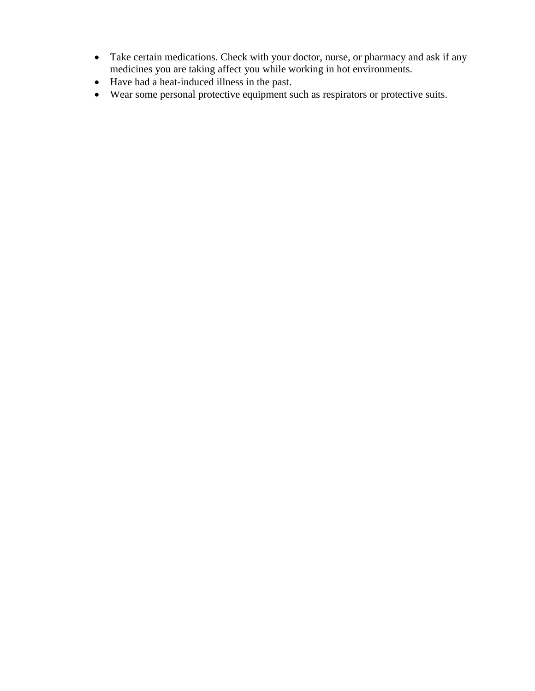- Take certain medications. Check with your doctor, nurse, or pharmacy and ask if any medicines you are taking affect you while working in hot environments.
- Have had a heat-induced illness in the past.
- Wear some personal protective equipment such as respirators or protective suits.